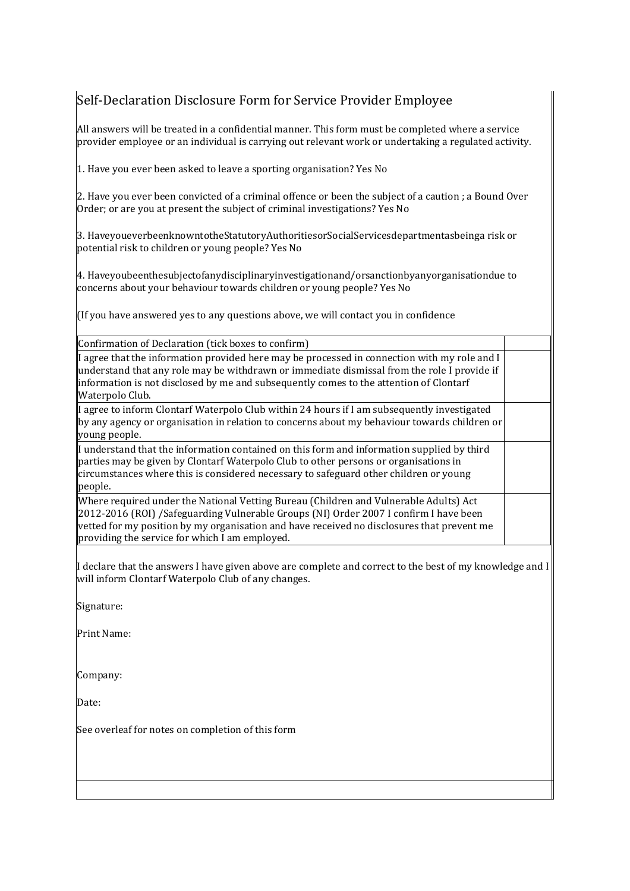## Self-Declaration Disclosure Form for Service Provider Employee

All answers will be treated in a confidential manner. This form must be completed where a service provider employee or an individual is carrying out relevant work or undertaking a regulated activity.

1. Have you ever been asked to leave a sporting organisation? Yes No

2. Have you ever been convicted of a criminal offence or been the subject of a caution ; a Bound Over Order; or are you at present the subject of criminal investigations? Yes No

3. HaveyoueverbeenknowntotheStatutoryAuthoritiesorSocialServicesdepartmentasbeinga risk or potential risk to children or young people? Yes No

4. Haveyoubeenthesubjectofanydisciplinaryinvestigationand/orsanctionbyanyorganisationdue to concerns about your behaviour towards children or young people? Yes No

(If you have answered yes to any questions above, we will contact you in confidence

Confirmation of Declaration (tick boxes to confirm)

| I agree that the information provided here may be processed in connection with my role and I<br>understand that any role may be withdrawn or immediate dismissal from the role I provide if<br>information is not disclosed by me and subsequently comes to the attention of Clontarf<br>Waterpolo Club.                       |  |
|--------------------------------------------------------------------------------------------------------------------------------------------------------------------------------------------------------------------------------------------------------------------------------------------------------------------------------|--|
| I agree to inform Clontarf Waterpolo Club within 24 hours if I am subsequently investigated<br>by any agency or organisation in relation to concerns about my behaviour towards children or<br>young people.                                                                                                                   |  |
| If understand that the information contained on this form and information supplied by third<br>parties may be given by Clontarf Waterpolo Club to other persons or organisations in<br>circumstances where this is considered necessary to safeguard other children or young<br>people.                                        |  |
| Where required under the National Vetting Bureau (Children and Vulnerable Adults) Act<br>2012-2016 (ROI) /Safeguarding Vulnerable Groups (NI) Order 2007 I confirm I have been<br>vetted for my position by my organisation and have received no disclosures that prevent me<br>providing the service for which I am employed. |  |

I declare that the answers I have given above are complete and correct to the best of my knowledge and I will inform Clontarf Waterpolo Club of any changes.

Signature:

Print Name:

Company:

Date:

See overleaf for notes on completion of this form